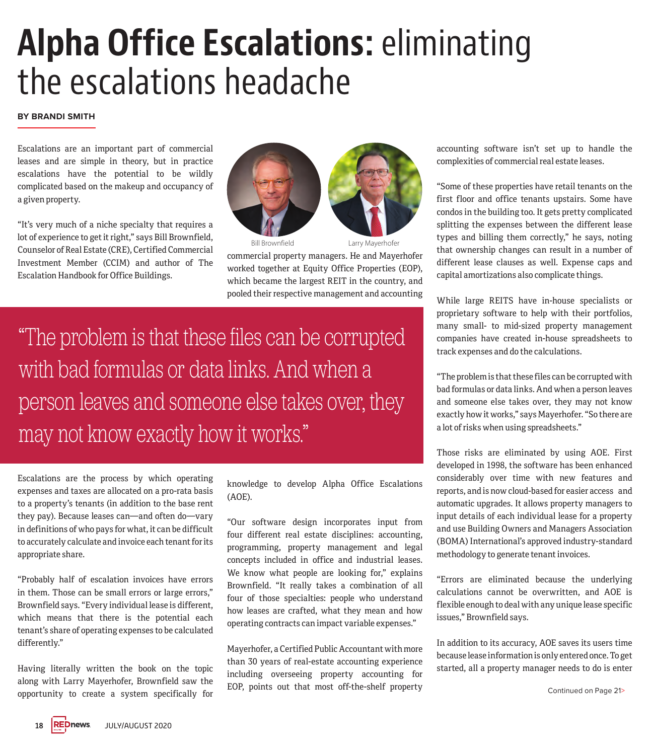# **Alpha Office Escalations:** eliminating the escalations headache

#### **BY BRANDI SMITH**

Escalations are an important part of commercial leases and are simple in theory, but in practice escalations have the potential to be wildly complicated based on the makeup and occupancy of a given property.

"It's very much of a niche specialty that requires a lot of experience to get it right," says Bill Brownfield, Counselor of Real Estate (CRE), Certified Commercial Investment Member (CCIM) and author of The Escalation Handbook for Office Buildings.



Bill Brownfield Larry Mayerhofer

commercial property managers. He and Mayerhofer worked together at Equity Office Properties (EOP), which became the largest REIT in the country, and pooled their respective management and accounting

"The problem is that these files can be corrupted with bad formulas or data links. And when a person leaves and someone else takes over, they may not know exactly how it works."

Escalations are the process by which operating expenses and taxes are allocated on a pro-rata basis to a property's tenants (in addition to the base rent they pay). Because leases can—and often do—vary in definitions of who pays for what, it can be difficult to accurately calculate and invoice each tenant for its appropriate share.

"Probably half of escalation invoices have errors in them. Those can be small errors or large errors," Brownfield says. "Every individual lease is different, which means that there is the potential each tenant's share of operating expenses to be calculated differently."

Having literally written the book on the topic along with Larry Mayerhofer, Brownfield saw the opportunity to create a system specifically for

knowledge to develop Alpha Office Escalations (AOE).

"Our software design incorporates input from four different real estate disciplines: accounting, programming, property management and legal concepts included in office and industrial leases. We know what people are looking for," explains Brownfield. "It really takes a combination of all four of those specialties: people who understand how leases are crafted, what they mean and how operating contracts can impact variable expenses."

Mayerhofer, a Certified Public Accountant with more than 30 years of real-estate accounting experience including overseeing property accounting for EOP, points out that most off-the-shelf property accounting software isn't set up to handle the complexities of commercial real estate leases.

"Some of these properties have retail tenants on the first floor and office tenants upstairs. Some have condos in the building too. It gets pretty complicated splitting the expenses between the different lease types and billing them correctly," he says, noting that ownership changes can result in a number of different lease clauses as well. Expense caps and capital amortizations also complicate things.

While large REITS have in-house specialists or proprietary software to help with their portfolios, many small- to mid-sized property management companies have created in-house spreadsheets to track expenses and do the calculations.

"The problem is that these files can be corrupted with bad formulas or data links. And when a person leaves and someone else takes over, they may not know exactly how it works," says Mayerhofer. "So there are a lot of risks when using spreadsheets."

Those risks are eliminated by using AOE. First developed in 1998, the software has been enhanced considerably over time with new features and reports, and is now cloud-based for easier access and automatic upgrades. It allows property managers to input details of each individual lease for a property and use Building Owners and Managers Association (BOMA) International's approved industry-standard methodology to generate tenant invoices.

"Errors are eliminated because the underlying calculations cannot be overwritten, and AOE is flexible enough to deal with any unique lease specific issues," Brownfield says.

In addition to its accuracy, AOE saves its users time because lease information is only entered once. To get started, all a property manager needs to do is enter